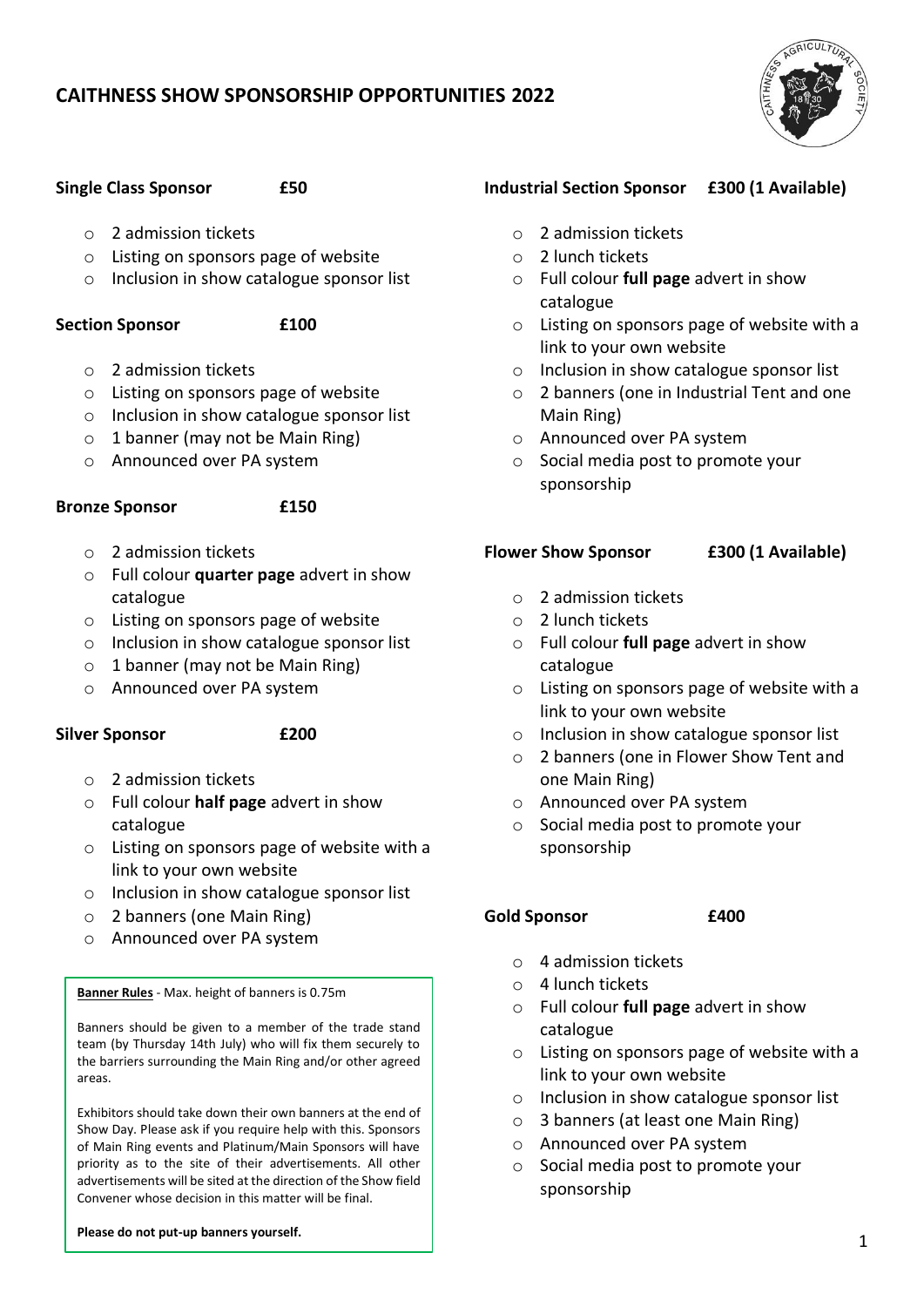# **CAITHNESS SHOW SPONSORSHIP OPPORTUNITIES 2022**



### **Single Class Sponsor £50**

- o 2 admission tickets
- o Listing on sponsors page of website
- o Inclusion in show catalogue sponsor list

### **Section Sponsor £100**

- o 2 admission tickets
- o Listing on sponsors page of website
- o Inclusion in show catalogue sponsor list
- $\circ$  1 banner (may not be Main Ring)
- o Announced over PA system

### **Bronze Sponsor £150**

- o 2 admission tickets
- o Full colour **quarter page** advert in show catalogue
- o Listing on sponsors page of website
- o Inclusion in show catalogue sponsor list
- $\circ$  1 banner (may not be Main Ring)
- o Announced over PA system

### **Silver Sponsor £200**

- o 2 admission tickets
- o Full colour **half page** advert in show catalogue
- o Listing on sponsors page of website with a link to your own website
- o Inclusion in show catalogue sponsor list
- o 2 banners (one Main Ring)
- o Announced over PA system

**Banner Rules** - Max. height of banners is 0.75m

Banners should be given to a member of the trade stand team (by Thursday 14th July) who will fix them securely to the barriers surrounding the Main Ring and/or other agreed areas.

Exhibitors should take down their own banners at the end of Show Day. Please ask if you require help with this. Sponsors of Main Ring events and Platinum/Main Sponsors will have priority as to the site of their advertisements. All other advertisements will be sited at the direction of the Show field Convener whose decision in this matter will be final.

### **Please do not put-up banners yourself.**

## **Industrial Section Sponsor £300 (1 Available)**

- o 2 admission tickets
- o 2 lunch tickets
- o Full colour **full page** advert in show catalogue
- o Listing on sponsors page of website with a link to your own website
- o Inclusion in show catalogue sponsor list
- o 2 banners (one in Industrial Tent and one Main Ring)
- o Announced over PA system
- o Social media post to promote your sponsorship

## **Flower Show Sponsor £300 (1 Available)**

- o 2 admission tickets
- o 2 lunch tickets
- o Full colour **full page** advert in show catalogue
- o Listing on sponsors page of website with a link to your own website
- o Inclusion in show catalogue sponsor list
- o 2 banners (one in Flower Show Tent and one Main Ring)
- o Announced over PA system
- o Social media post to promote your sponsorship

### **Gold Sponsor £400**

- o 4 admission tickets
- o 4 lunch tickets
- o Full colour **full page** advert in show catalogue
- o Listing on sponsors page of website with a link to your own website
- o Inclusion in show catalogue sponsor list
- o 3 banners (at least one Main Ring)
- o Announced over PA system
- o Social media post to promote your sponsorship